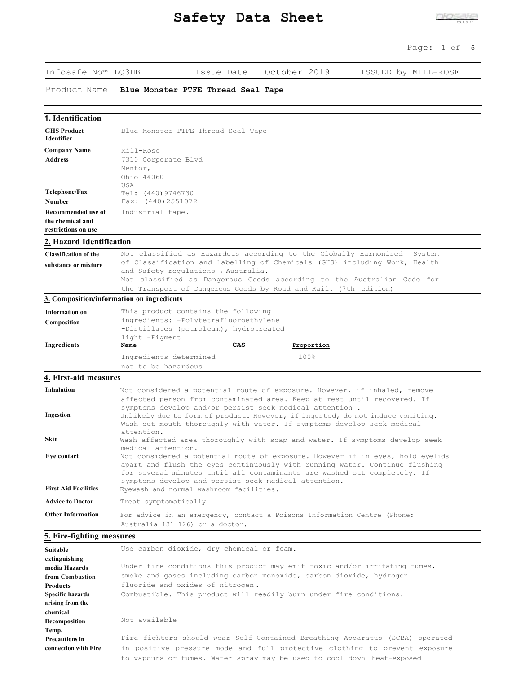| IInfosafe No™ LQ3HB                     | October 2019<br>Issue Date<br>ISSUED by MILL-ROSE                                                                                                       |  |  |
|-----------------------------------------|---------------------------------------------------------------------------------------------------------------------------------------------------------|--|--|
| Product Name                            | Blue Monster PTFE Thread Seal Tape                                                                                                                      |  |  |
|                                         |                                                                                                                                                         |  |  |
| 1. Identification                       |                                                                                                                                                         |  |  |
| <b>GHS Product</b><br><b>Identifier</b> | Blue Monster PTFE Thread Seal Tape                                                                                                                      |  |  |
| <b>Company Name</b>                     | Mill-Rose                                                                                                                                               |  |  |
| <b>Address</b>                          | 7310 Corporate Blvd<br>Mentor,                                                                                                                          |  |  |
|                                         | Ohio 44060                                                                                                                                              |  |  |
|                                         | USA                                                                                                                                                     |  |  |
| Telephone/Fax<br>Number                 | Tel: (440) 9746730<br>Fax: (440) 2551072                                                                                                                |  |  |
| Recommended use of                      |                                                                                                                                                         |  |  |
| the chemical and                        | Industrial tape.                                                                                                                                        |  |  |
| restrictions on use                     |                                                                                                                                                         |  |  |
| 2. Hazard Identification                |                                                                                                                                                         |  |  |
| <b>Classification of the</b>            | Not classified as Hazardous according to the Globally Harmonised<br>System                                                                              |  |  |
| substance or mixture                    | of Classification and labelling of Chemicals (GHS) including Work, Health                                                                               |  |  |
|                                         | and Safety regulations, Australia.                                                                                                                      |  |  |
|                                         | Not classified as Dangerous Goods according to the Australian Code for                                                                                  |  |  |
|                                         | the Transport of Dangerous Goods by Road and Rail. (7th edition)                                                                                        |  |  |
|                                         | 3. Composition/information on ingredients                                                                                                               |  |  |
| Information on                          | This product contains the following                                                                                                                     |  |  |
| Composition                             | ingredients: - Polytetrafluoroethylene                                                                                                                  |  |  |
|                                         | -Distillates (petroleum), hydrotreated<br>light -Pigment                                                                                                |  |  |
| Ingredients                             | CAS<br>Name<br>Proportion                                                                                                                               |  |  |
|                                         | 100%<br>Ingredients determined                                                                                                                          |  |  |
|                                         | not to be hazardous                                                                                                                                     |  |  |
| 4. First-aid measures                   |                                                                                                                                                         |  |  |
| Inhalation                              | Not considered a potential route of exposure. However, if inhaled, remove                                                                               |  |  |
|                                         | affected person from contaminated area. Keep at rest until recovered. If                                                                                |  |  |
|                                         | symptoms develop and/or persist seek medical attention.                                                                                                 |  |  |
| <b>Ingestion</b>                        | Unlikely due to form of product. However, if ingested, do not induce vomiting.                                                                          |  |  |
|                                         | Wash out mouth thoroughly with water. If symptoms develop seek medical                                                                                  |  |  |
| Skin                                    | attention.<br>Wash affected area thoroughly with soap and water. If symptoms develop seek<br>medical attention.                                         |  |  |
| Eye contact                             | Not considered a potential route of exposure. However if in eyes, hold eyelids                                                                          |  |  |
|                                         | apart and flush the eyes continuously with running water. Continue flushing<br>for several minutes until all contaminants are washed out completely. If |  |  |
| <b>First Aid Facilities</b>             | symptoms develop and persist seek medical attention.<br>Eyewash and normal washroom facilities.                                                         |  |  |
| <b>Advice to Doctor</b>                 | Treat symptomatically.                                                                                                                                  |  |  |
| <b>Other Information</b>                | For advice in an emergency, contact a Poisons Information Centre (Phone:                                                                                |  |  |
|                                         | Australia 131 126) or a doctor.                                                                                                                         |  |  |
| 5. Fire-fighting measures               |                                                                                                                                                         |  |  |
| Suitable                                | Use carbon dioxide, dry chemical or foam.                                                                                                               |  |  |
| extinguishing                           |                                                                                                                                                         |  |  |
| media Hazards                           | Under fire conditions this product may emit toxic and/or irritating fumes,                                                                              |  |  |
| from Combustion                         | smoke and gases including carbon monoxide, carbon dioxide, hydrogen                                                                                     |  |  |
| <b>Products</b>                         | fluoride and oxides of nitrogen.                                                                                                                        |  |  |
| <b>Specific hazards</b>                 | Combustible. This product will readily burn under fire conditions.                                                                                      |  |  |

Not available

**arising from the chemical Decomposition Temp.**

**Precautions in connection with Fire** Fire fighters should wear Self-Contained Breathing Apparatus (SCBA) operated in positive pressure mode and full protective clothing to prevent exposure to vapours or fumes. Water spray may be used to cool down heat-exposed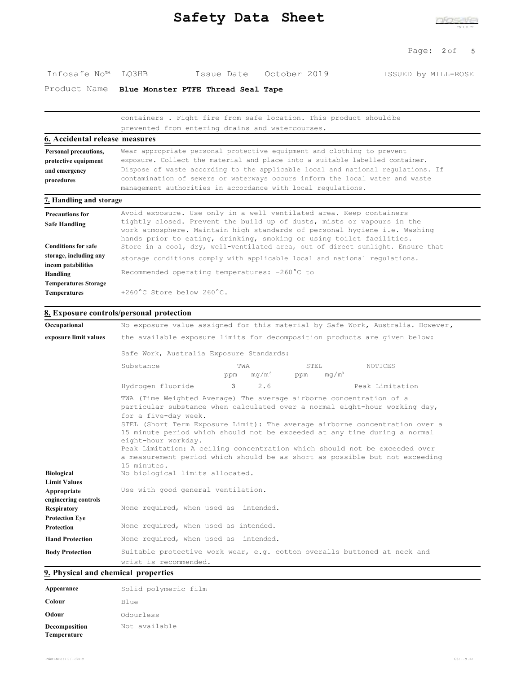| Safety Data Sheet |  |  |
|-------------------|--|--|
|-------------------|--|--|

#### Page: 2 of 5

| Infosafe No™ LQ3HB |  | Issue Date October 2019 | ISSUED by MILL-ROSE |
|--------------------|--|-------------------------|---------------------|

Product Name **Blue Monster PTFE Thread Seal Tape**

|                                                                                         | containers. Fight fire from safe location. This product shouldbe<br>prevented from entering drains and watercourses.                                                                                                                                                                                                                                                                      |
|-----------------------------------------------------------------------------------------|-------------------------------------------------------------------------------------------------------------------------------------------------------------------------------------------------------------------------------------------------------------------------------------------------------------------------------------------------------------------------------------------|
| <b>6.</b> Accidental release measures                                                   |                                                                                                                                                                                                                                                                                                                                                                                           |
| Personal precautions,<br>protective equipment<br>and emergency<br>procedures            | Wear appropriate personal protective equipment and clothing to prevent<br>exposure. Collect the material and place into a suitable labelled container.<br>Dispose of waste according to the applicable local and national regulations. If<br>contamination of sewers or waterways occurs inform the local water and waste<br>management authorities in accordance with local regulations. |
| 7. Handling and storage                                                                 |                                                                                                                                                                                                                                                                                                                                                                                           |
| <b>Precautions for</b><br><b>Safe Handling</b><br><b>Conditions for safe</b>            | Avoid exposure. Use only in a well ventilated area. Keep containers<br>tightly closed. Prevent the build up of dusts, mists or vapours in the<br>work atmosphere. Maintain high standards of personal hygiene i.e. Washing<br>hands prior to eating, drinking, smoking or using toilet facilities.<br>Store in a cool, dry, well-ventilated area, out of direct sunlight. Ensure that     |
| storage, including any<br>incom patabilities<br>Handling<br><b>Temperatures Storage</b> | storage conditions comply with applicable local and national regulations.<br>Recommended operating temperatures: -260°C to                                                                                                                                                                                                                                                                |
| Temperatures                                                                            | $+260^{\circ}$ C Store below $260^{\circ}$ C.                                                                                                                                                                                                                                                                                                                                             |

#### **8. Exposure controls/personal protection**

| Occupational                                            | No exposure value assigned for this material by Safe Work, Australia. However,                                                                                                                                                                                                                                                                                                                                                                                                                                                                                              |          |  |                 |
|---------------------------------------------------------|-----------------------------------------------------------------------------------------------------------------------------------------------------------------------------------------------------------------------------------------------------------------------------------------------------------------------------------------------------------------------------------------------------------------------------------------------------------------------------------------------------------------------------------------------------------------------------|----------|--|-----------------|
| exposure limit values                                   | the available exposure limits for decomposition products are given below:                                                                                                                                                                                                                                                                                                                                                                                                                                                                                                   |          |  |                 |
|                                                         | Safe Work, Australia Exposure Standards:                                                                                                                                                                                                                                                                                                                                                                                                                                                                                                                                    |          |  |                 |
|                                                         | NOTICES                                                                                                                                                                                                                                                                                                                                                                                                                                                                                                                                                                     |          |  |                 |
|                                                         | Hydrogen fluoride                                                                                                                                                                                                                                                                                                                                                                                                                                                                                                                                                           | 3<br>2.6 |  | Peak Limitation |
| <b>Biological</b><br><b>Limit Values</b><br>Appropriate | TWA (Time Weighted Average) The average airborne concentration of a<br>particular substance when calculated over a normal eight-hour working day,<br>for a five-day week.<br>STEL (Short Term Exposure Limit): The average airborne concentration over a<br>15 minute period which should not be exceeded at any time during a normal<br>eight-hour workday.<br>Peak Limitation: A ceiling concentration which should not be exceeded over<br>a measurement period which should be as short as possible but not exceeding<br>15 minutes.<br>No biological limits allocated. |          |  |                 |
| engineering controls                                    | Use with good general ventilation.<br>None required, when used as intended.                                                                                                                                                                                                                                                                                                                                                                                                                                                                                                 |          |  |                 |
| <b>Respiratory</b><br><b>Protection Eve</b>             |                                                                                                                                                                                                                                                                                                                                                                                                                                                                                                                                                                             |          |  |                 |
| <b>Protection</b>                                       | None required, when used as intended.                                                                                                                                                                                                                                                                                                                                                                                                                                                                                                                                       |          |  |                 |
| <b>Hand Protection</b>                                  | None required, when used as intended.                                                                                                                                                                                                                                                                                                                                                                                                                                                                                                                                       |          |  |                 |
| <b>Body Protection</b>                                  | Suitable protective work wear, e.g. cotton overalls buttoned at neck and<br>wrist is recommended.                                                                                                                                                                                                                                                                                                                                                                                                                                                                           |          |  |                 |

# **9. Physical and chemical properties**

| Appearance                   | Solid polymeric film |
|------------------------------|----------------------|
| Colour                       | Blue                 |
| Odour                        | Odourless            |
| Decomposition<br>Temperature | Not available        |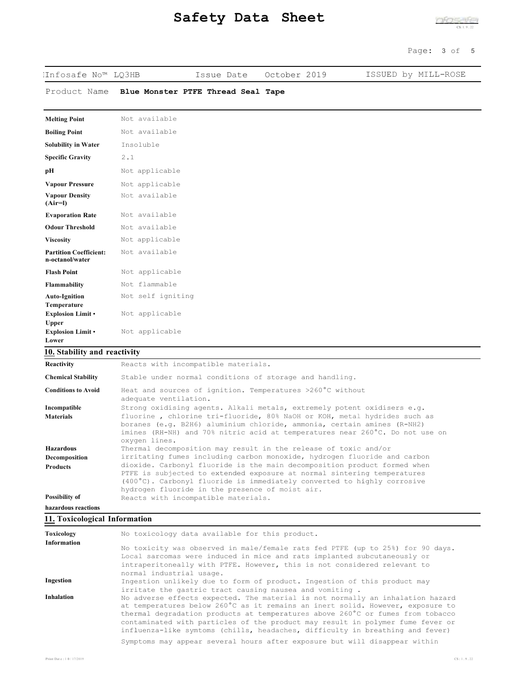| IInfosafe No™ LO3HB                              |                                    | Issue Date | October 2019 | ISSUED by MILL-ROSE |
|--------------------------------------------------|------------------------------------|------------|--------------|---------------------|
| Product Name                                     | Blue Monster PTFE Thread Seal Tape |            |              |                     |
| <b>Melting Point</b>                             | Not available                      |            |              |                     |
| <b>Boiling Point</b>                             | Not available                      |            |              |                     |
| <b>Solubility in Water</b>                       | Insoluble                          |            |              |                     |
| <b>Specific Gravity</b>                          | 2.1                                |            |              |                     |
| pН                                               | Not applicable                     |            |              |                     |
| <b>Vapour Pressure</b>                           | Not applicable                     |            |              |                     |
| <b>Vapour Density</b><br>$(Air=1)$               | Not available                      |            |              |                     |
| <b>Evaporation Rate</b>                          | Not available                      |            |              |                     |
| <b>Odour Threshold</b>                           | Not available                      |            |              |                     |
| <b>Viscosity</b>                                 | Not applicable                     |            |              |                     |
| <b>Partition Coefficient:</b><br>n-octanol/water | Not available                      |            |              |                     |
| <b>Flash Point</b>                               | Not applicable                     |            |              |                     |
| <b>Flammability</b>                              | Not flammable                      |            |              |                     |
| <b>Auto-Ignition</b><br>Temperature              | Not self igniting                  |            |              |                     |
| Explosion Limit .<br>Upper                       | Not applicable                     |            |              |                     |
| <b>Explosion Limit</b> •<br>Lower                | Not applicable                     |            |              |                     |

#### **10. Stability and reactivity**

| Reactivity                 | Reacts with incompatible materials.                                                                                                                                                                                                                                                         |
|----------------------------|---------------------------------------------------------------------------------------------------------------------------------------------------------------------------------------------------------------------------------------------------------------------------------------------|
| <b>Chemical Stability</b>  | Stable under normal conditions of storage and handling.                                                                                                                                                                                                                                     |
| <b>Conditions to Avoid</b> | Heat and sources of ignition. Temperatures >260°C without<br>adequate ventilation.                                                                                                                                                                                                          |
| Incompatible               | Strong oxidising agents. Alkali metals, extremely potent oxidisers e.g.                                                                                                                                                                                                                     |
| <b>Materials</b>           | fluorine, chlorine tri-fluoride, 80% NaOH or KOH, metal hydrides such as<br>boranes (e.g. B2H6) aluminium chloride, ammonia, certain amines (R-NH2)<br>imines (RH-NH) and 70% nitric acid at temperatures near 260°C. Do not use on<br>oxygen lines.                                        |
| <b>Hazardous</b>           | Thermal decomposition may result in the release of toxic and/or                                                                                                                                                                                                                             |
| Decomposition              | irritating fumes including carbon monoxide, hydrogen fluoride and carbon                                                                                                                                                                                                                    |
| <b>Products</b>            | dioxide. Carbonyl fluoride is the main decomposition product formed when<br>PTFE is subjected to extended exposure at normal sintering temperatures<br>$(400^{\circ}$ C). Carbonyl fluoride is immediately converted to highly corrosive<br>hydrogen fluoride in the presence of moist air. |
| Possibility of             | Reacts with incompatible materials.                                                                                                                                                                                                                                                         |
| hazardous reactions        |                                                                                                                                                                                                                                                                                             |

#### **11. Toxicological Information**

| Toxicology<br><b>Information</b> | No toxicology data available for this product.                                                                                                                                                                                                                                                                                                                                                                        |
|----------------------------------|-----------------------------------------------------------------------------------------------------------------------------------------------------------------------------------------------------------------------------------------------------------------------------------------------------------------------------------------------------------------------------------------------------------------------|
|                                  | No toxicity was observed in male/female rats fed PTFE (up to 25%) for 90 days.<br>Local sarcomas were induced in mice and rats implanted subcutaneously or                                                                                                                                                                                                                                                            |
|                                  | intraperitoneally with PTFE. However, this is not considered relevant to<br>normal industrial usage.                                                                                                                                                                                                                                                                                                                  |
| Ingestion                        | Ingestion unlikely due to form of product. Ingestion of this product may<br>irritate the qastric tract causing nausea and vomiting.                                                                                                                                                                                                                                                                                   |
| <b>Inhalation</b>                | No adverse effects expected. The material is not normally an inhalation hazard<br>at temperatures below 260°C as it remains an inert solid. However, exposure to<br>thermal degradation products at temperatures above 260°C or fumes from tobacco<br>contaminated with particles of the product may result in polymer fume fever or<br>influenza-like symtoms (chills, headaches, difficulty in breathing and fever) |
|                                  | Symptoms may appear several hours after exposure but will disappear within                                                                                                                                                                                                                                                                                                                                            |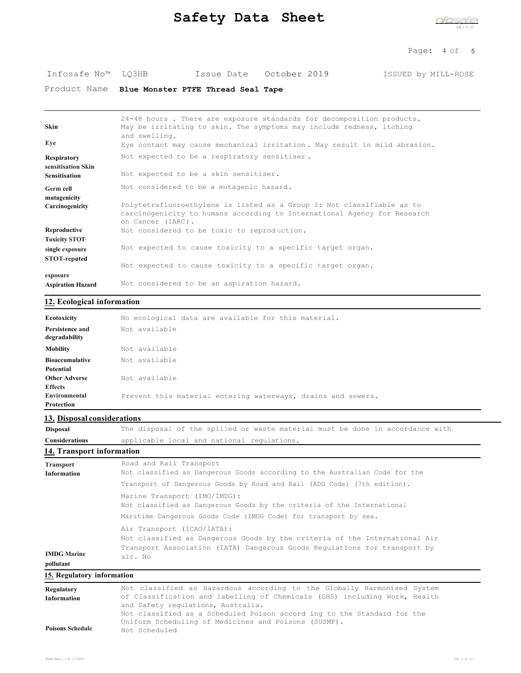# **Safety Data Sheet** Constants Constants

#### Page: 4 of 5

| Infosafe No™ LO3HB |  | Issue Date October 2019 | ISSUED by MILL-ROSE |
|--------------------|--|-------------------------|---------------------|
|                    |  |                         |                     |

Product Name **Blue Monster PTFE Thread Seal Tape**

| <b>Skin</b>                              | 24-48 hours. There are exposure standards for decomposition products.<br>May be irritating to skin. The symptoms may include redness, itching<br>and swelling. |
|------------------------------------------|----------------------------------------------------------------------------------------------------------------------------------------------------------------|
| Eve                                      | Eye contact may cause mechanical irritation. May result in mild abrasion.                                                                                      |
| <b>Respiratory</b><br>sensitisation Skin | Not expected to be a respiratory sensitiser.                                                                                                                   |
| <b>Sensitisation</b>                     | Not expected to be a skin sensitiser.                                                                                                                          |
| Germ cell<br>mutagenicity                | Not considered to be a mutagenic hazard.                                                                                                                       |
| Carcinogenicity                          | Polytetrafluoroethylene is listed as a Group 3: Not classifiable as to                                                                                         |
|                                          | carcinogenicity to humans according to International Agency for Research<br>on Cancer (IARC).                                                                  |
| Reproductive                             | Not considered to be toxic to reproduction.                                                                                                                    |
| <b>Toxicity STOT</b>                     |                                                                                                                                                                |
| single exposure                          | Not expected to cause toxicity to a specific target organ.                                                                                                     |
| <b>STOT-repated</b>                      | Not expected to cause toxicity to a specific target organ.                                                                                                     |
| exposure                                 | Not considered to be an aspiration hazard.                                                                                                                     |

# **12. Ecological information**

| Ecotoxicity                      | No ecological data are available for this material.          |
|----------------------------------|--------------------------------------------------------------|
| Persistence and<br>degradability | Not available                                                |
| <b>Mobility</b>                  | Not available                                                |
| <b>Bioaccumulative</b>           | Not available                                                |
| Potential                        |                                                              |
| <b>Other Adverse</b>             | Not available                                                |
| <b>Effects</b>                   |                                                              |
| Environmental                    | Prevent this material entering waterways, drains and sewers. |
| Protection                       |                                                              |
|                                  |                                                              |

# **13. Disposal considerations**

| <b>Disposal</b>                                     | The disposal of the spilled or waste material must be done in accordance with |  |  |
|-----------------------------------------------------|-------------------------------------------------------------------------------|--|--|
| <b>Considerations</b>                               | applicable local and national requiations.                                    |  |  |
| $14.5$ There is no contribution of the $\mathbf{r}$ |                                                                               |  |  |

### **14. Transport information**

| <b>Transport</b>                | Road and Rail Transport                                                                                                                                                                          |
|---------------------------------|--------------------------------------------------------------------------------------------------------------------------------------------------------------------------------------------------|
| <b>Information</b>              | Not classified as Dangerous Goods according to the Australian Code for the                                                                                                                       |
|                                 | Transport of Dangerous Goods by Road and Rail (ADG Code) (7th edition).                                                                                                                          |
|                                 | Marine Transport (IMO/IMDG):<br>Not classified as Dangerous Goods by the criteria of the International<br>Maritime Dangerous Goods Code (IMDG Code) for transport by sea.                        |
| <b>IMDG Marine</b><br>pollutant | Air Transport (ICAO/IATA):<br>Not classified as Dangerous Goods by the criteria of the International Air<br>Transport Association (IATA) Dangerous Goods Regulations for transport by<br>air. No |
| 15. Regulatory information      |                                                                                                                                                                                                  |

| Regulatory              | Not classified as Hazardous according to the Globally Harmonised System                                                         |
|-------------------------|---------------------------------------------------------------------------------------------------------------------------------|
| <b>Information</b>      | of Classification and labelling of Chemicals (GHS) including Work, Health<br>and Safety regulations, Australia.                 |
|                         | Not classified as a Scheduled Poison accord ing to the Standard for the<br>Uniform Scheduling of Medicines and Poisons (SUSMP). |
| <b>Poisons Schedule</b> | Not Scheduled                                                                                                                   |